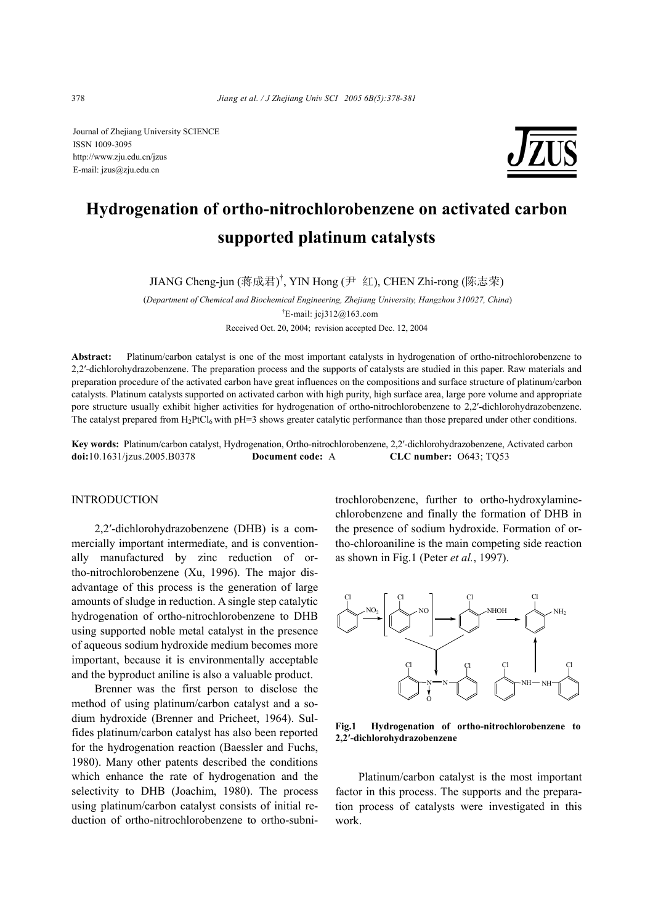Journal of Zhejiang University SCIENCE ISSN 1009-3095 http://www.zju.edu.cn/jzus E-mail: jzus@zju.edu.cn



# **Hydrogenation of ortho-nitrochlorobenzene on activated carbon supported platinum catalysts**

JIANG Cheng-jun (蒋成君) † , YIN Hong (尹 红), CHEN Zhi-rong (陈志荣)

 (*Department of Chemical and Biochemical Engineering, Zhejiang University, Hangzhou 310027, China*) <sup>†</sup>E-mail: jcj $312@163$ .com Received Oct. 20, 2004; revision accepted Dec. 12, 2004

**Abstract:** Platinum/carbon catalyst is one of the most important catalysts in hydrogenation of ortho-nitrochlorobenzene to 2,2′-dichlorohydrazobenzene. The preparation process and the supports of catalysts are studied in this paper. Raw materials and preparation procedure of the activated carbon have great influences on the compositions and surface structure of platinum/carbon catalysts. Platinum catalysts supported on activated carbon with high purity, high surface area, large pore volume and appropriate pore structure usually exhibit higher activities for hydrogenation of ortho-nitrochlorobenzene to 2,2′-dichlorohydrazobenzene. The catalyst prepared from  $H_2$ PtCl<sub>6</sub> with pH=3 shows greater catalytic performance than those prepared under other conditions.

**Key words:** Platinum/carbon catalyst, Hydrogenation, Ortho-nitrochlorobenzene, 2,2′-dichlorohydrazobenzene, Activated carbon **doi:**10.1631/jzus.2005.B0378 **Document code:** A **CLC number:** O643; TQ53

# INTRODUCTION

2,2′-dichlorohydrazobenzene (DHB) is a commercially important intermediate, and is conventionally manufactured by zinc reduction of ortho-nitrochlorobenzene (Xu, 1996). The major disadvantage of this process is the generation of large amounts of sludge in reduction. A single step catalytic hydrogenation of ortho-nitrochlorobenzene to DHB using supported noble metal catalyst in the presence of aqueous sodium hydroxide medium becomes more important, because it is environmentally acceptable and the byproduct aniline is also a valuable product.

Brenner was the first person to disclose the method of using platinum/carbon catalyst and a sodium hydroxide (Brenner and Pricheet, 1964). Sulfides platinum/carbon catalyst has also been reported for the hydrogenation reaction (Baessler and Fuchs, 1980). Many other patents described the conditions which enhance the rate of hydrogenation and the selectivity to DHB (Joachim, 1980). The process using platinum/carbon catalyst consists of initial reduction of ortho-nitrochlorobenzene to ortho-subnitrochlorobenzene, further to ortho-hydroxylaminechlorobenzene and finally the formation of DHB in the presence of sodium hydroxide. Formation of ortho-chloroaniline is the main competing side reaction as shown in Fig.1 (Peter *et al.*, 1997).



**Fig.1 Hydrogenation of ortho-nitrochlorobenzene to 2,2′-dichlorohydrazobenzene** 

Platinum/carbon catalyst is the most important factor in this process. The supports and the preparation process of catalysts were investigated in this work.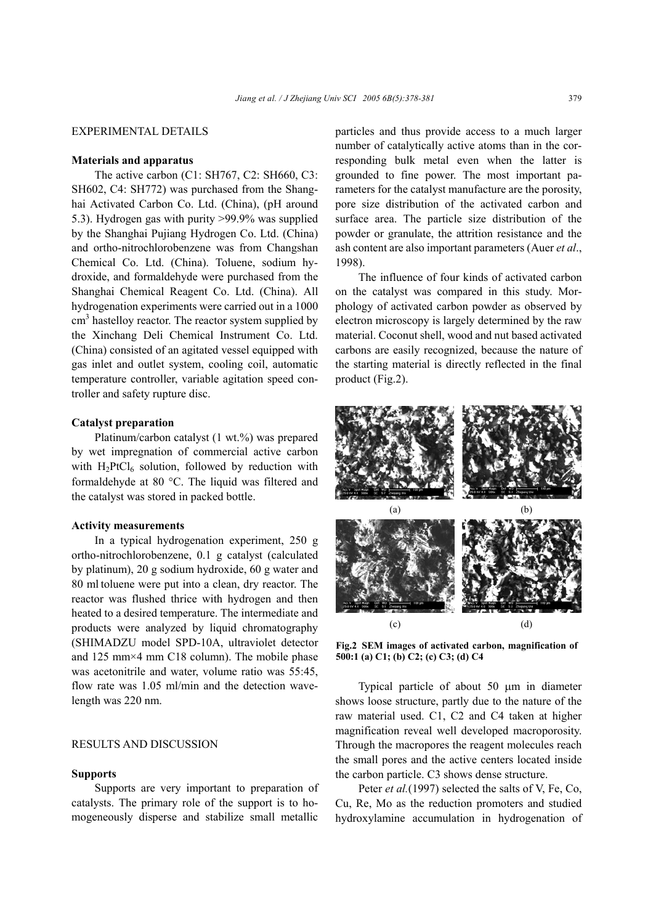# EXPERIMENTAL DETAILS

## **Materials and apparatus**

The active carbon (C1: SH767, C2: SH660, C3: SH602, C4: SH772) was purchased from the Shanghai Activated Carbon Co. Ltd. (China), (pH around 5.3). Hydrogen gas with purity >99.9% was supplied by the Shanghai Pujiang Hydrogen Co. Ltd. (China) and ortho-nitrochlorobenzene was from Changshan Chemical Co. Ltd. (China). Toluene, sodium hydroxide, and formaldehyde were purchased from the Shanghai Chemical Reagent Co. Ltd. (China). All hydrogenation experiments were carried out in a 1000 cm<sup>3</sup> hastelloy reactor. The reactor system supplied by the Xinchang Deli Chemical Instrument Co. Ltd. (China) consisted of an agitated vessel equipped with gas inlet and outlet system, cooling coil, automatic temperature controller, variable agitation speed controller and safety rupture disc.

## **Catalyst preparation**

Platinum/carbon catalyst (1 wt.%) was prepared by wet impregnation of commercial active carbon with  $H_2PtCl_6$  solution, followed by reduction with formaldehyde at 80 °C. The liquid was filtered and the catalyst was stored in packed bottle.

## **Activity measurements**

In a typical hydrogenation experiment, 250 g ortho-nitrochlorobenzene, 0.1 g catalyst (calculated by platinum), 20 g sodium hydroxide, 60 g water and 80 ml toluene were put into a clean, dry reactor. The reactor was flushed thrice with hydrogen and then heated to a desired temperature. The intermediate and products were analyzed by liquid chromatography (SHIMADZU model SPD-10A, ultraviolet detector and 125 mm×4 mm C18 column). The mobile phase was acetonitrile and water, volume ratio was 55:45, flow rate was 1.05 ml/min and the detection wavelength was 220 nm.

# RESULTS AND DISCUSSION

# **Supports**

Supports are very important to preparation of catalysts. The primary role of the support is to homogeneously disperse and stabilize small metallic

particles and thus provide access to a much larger number of catalytically active atoms than in the corresponding bulk metal even when the latter is grounded to fine power. The most important parameters for the catalyst manufacture are the porosity, pore size distribution of the activated carbon and surface area. The particle size distribution of the powder or granulate, the attrition resistance and the ash content are also important parameters (Auer *et al*., 1998).

The influence of four kinds of activated carbon on the catalyst was compared in this study. Morphology of activated carbon powder as observed by electron microscopy is largely determined by the raw material. Coconut shell, wood and nut based activated carbons are easily recognized, because the nature of the starting material is directly reflected in the final product (Fig.2).



**Fig.2 SEM images of activated carbon, magnification of 500:1 (a) C1; (b) C2; (c) C3; (d) C4**

Typical particle of about 50 µm in diameter shows loose structure, partly due to the nature of the raw material used. C1, C2 and C4 taken at higher magnification reveal well developed macroporosity. Through the macropores the reagent molecules reach the small pores and the active centers located inside the carbon particle. C3 shows dense structure.

Peter *et al.*(1997) selected the salts of V, Fe, Co, Cu, Re, Mo as the reduction promoters and studied hydroxylamine accumulation in hydrogenation of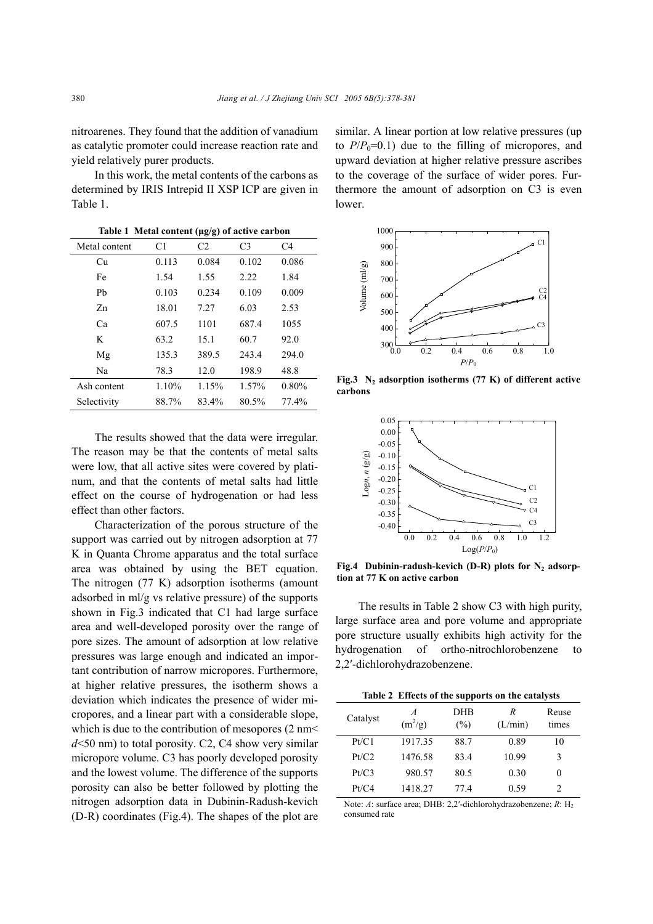nitroarenes. They found that the addition of vanadium as catalytic promoter could increase reaction rate and yield relatively purer products.

In this work, the metal contents of the carbons as determined by IRIS Intrepid II XSP ICP are given in Table 1.

**Table 1 Metal content (µg/g) of active carbon** 

| Metal content | C1    | C <sub>2</sub> | C <sub>3</sub> | C <sub>4</sub> |
|---------------|-------|----------------|----------------|----------------|
| Сu            | 0.113 | 0.084          | 0.102          | 0.086          |
| Fe            | 1.54  | 1.55           | 2.22           | 1.84           |
| Ph            | 0.103 | 0.234          | 0.109          | 0.009          |
| Zn            | 18.01 | 7.27           | 6.03           | 2.53           |
| Ca            | 607.5 | 1101           | 687.4          | 1055           |
| K             | 63.2  | 15.1           | 60.7           | 92.0           |
| Mg            | 135.3 | 389.5          | 243.4          | 294.0          |
| Na            | 78.3  | 12.0           | 198.9          | 48.8           |
| Ash content   | 1.10% | 1.15%          | 1.57%          | $0.80\%$       |
| Selectivity   | 88.7% | 83.4%          | 80.5%          | 77.4%          |

The results showed that the data were irregular. The reason may be that the contents of metal salts were low, that all active sites were covered by platinum, and that the contents of metal salts had little effect on the course of hydrogenation or had less effect than other factors.

Characterization of the porous structure of the support was carried out by nitrogen adsorption at 77 K in Quanta Chrome apparatus and the total surface area was obtained by using the BET equation. The nitrogen (77 K) adsorption isotherms (amount adsorbed in ml/g vs relative pressure) of the supports shown in Fig.3 indicated that C1 had large surface area and well-developed porosity over the range of pore sizes. The amount of adsorption at low relative pressures was large enough and indicated an important contribution of narrow micropores. Furthermore, at higher relative pressures, the isotherm shows a deviation which indicates the presence of wider micropores, and a linear part with a considerable slope, which is due to the contribution of mesopores (2 nm< *d*<50 nm) to total porosity. C2, C4 show very similar micropore volume. C3 has poorly developed porosity and the lowest volume. The difference of the supports porosity can also be better followed by plotting the nitrogen adsorption data in Dubinin-Radush-kevich (D-R) coordinates (Fig.4). The shapes of the plot are

similar. A linear portion at low relative pressures (up to  $P/P_0=0.1$ ) due to the filling of micropores, and upward deviation at higher relative pressure ascribes to the coverage of the surface of wider pores. Furthermore the amount of adsorption on C3 is even lower.



**Fig.3 N2 adsorption isotherms (77 K) of different active carbons**



Fig.4 Dubinin-radush-kevich (D-R) plots for N<sub>2</sub> adsorp**tion at 77 K on active carbon**

The results in Table 2 show C3 with high purity, large surface area and pore volume and appropriate pore structure usually exhibits high activity for the hydrogenation of ortho-nitrochlorobenzene to 2,2′-dichlorohydrazobenzene.

| Table 2 Effects of the supports on the catalysts |                             |               |              |                             |  |  |
|--------------------------------------------------|-----------------------------|---------------|--------------|-----------------------------|--|--|
| Catalyst                                         | $\overline{A}$<br>$(m^2/g)$ | DHB<br>$(\%)$ | R<br>(L/min) | Reuse<br>times              |  |  |
| Pt/C1                                            | 1917.35                     | 88.7          | 0.89         | 10                          |  |  |
| Pt/C2                                            | 1476.58                     | 834           | 10.99        | 3                           |  |  |
| Pt/C3                                            | 980.57                      | 80.5          | 0.30         | 0                           |  |  |
| Pt/C4                                            | 1418.27                     | 774           | 0.59         | $\mathcal{D}_{\mathcal{A}}$ |  |  |

Note: *A*: surface area; DHB: 2,2'-dichlorohydrazobenzene; *R*: H<sub>2</sub> consumed rate